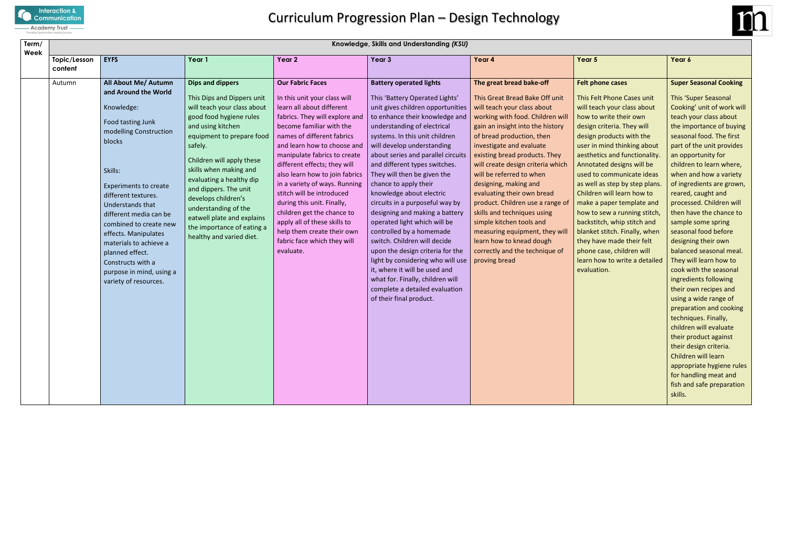

| Term/<br>Week           | Knowledge, Skills and Understanding (KSU)                                                                                                                                                                                                                                                                                                                       |                                                                                                                                                                                                                                                                                                                                    |                                                                                                                                                                                                                                                                                                                                                                                                                                                                                                                                     |                                                                                                                                                                                                                                                                                                                                                                       |                                                                                                                                                                                                                                                                                                                                                                                                |                                                                                                                                                                                                                                                                  |  |  |  |  |
|-------------------------|-----------------------------------------------------------------------------------------------------------------------------------------------------------------------------------------------------------------------------------------------------------------------------------------------------------------------------------------------------------------|------------------------------------------------------------------------------------------------------------------------------------------------------------------------------------------------------------------------------------------------------------------------------------------------------------------------------------|-------------------------------------------------------------------------------------------------------------------------------------------------------------------------------------------------------------------------------------------------------------------------------------------------------------------------------------------------------------------------------------------------------------------------------------------------------------------------------------------------------------------------------------|-----------------------------------------------------------------------------------------------------------------------------------------------------------------------------------------------------------------------------------------------------------------------------------------------------------------------------------------------------------------------|------------------------------------------------------------------------------------------------------------------------------------------------------------------------------------------------------------------------------------------------------------------------------------------------------------------------------------------------------------------------------------------------|------------------------------------------------------------------------------------------------------------------------------------------------------------------------------------------------------------------------------------------------------------------|--|--|--|--|
| Topic/Lesson<br>content | Year 1                                                                                                                                                                                                                                                                                                                                                          | Year 2                                                                                                                                                                                                                                                                                                                             | Year 3                                                                                                                                                                                                                                                                                                                                                                                                                                                                                                                              | Year 4                                                                                                                                                                                                                                                                                                                                                                | Year 5                                                                                                                                                                                                                                                                                                                                                                                         | Year 6                                                                                                                                                                                                                                                           |  |  |  |  |
| Autumn                  | All About Me/ Autumn<br>Dips and dippers<br>and Around the World                                                                                                                                                                                                                                                                                                | <b>Our Fabric Faces</b>                                                                                                                                                                                                                                                                                                            | <b>Battery operated lights</b>                                                                                                                                                                                                                                                                                                                                                                                                                                                                                                      | The great bread bake-off                                                                                                                                                                                                                                                                                                                                              | <b>Felt phone cases</b>                                                                                                                                                                                                                                                                                                                                                                        | <b>Super</b>                                                                                                                                                                                                                                                     |  |  |  |  |
|                         | This Dips and Dippers unit<br>will teach your class about                                                                                                                                                                                                                                                                                                       | In this unit your class will<br>learn all about different                                                                                                                                                                                                                                                                          | This 'Battery Operated Lights'<br>unit gives children opportunities                                                                                                                                                                                                                                                                                                                                                                                                                                                                 | This Great Bread Bake Off unit<br>will teach your class about                                                                                                                                                                                                                                                                                                         | This Felt Phone Cases unit<br>will teach your class about                                                                                                                                                                                                                                                                                                                                      | This 'S<br>Cookin                                                                                                                                                                                                                                                |  |  |  |  |
|                         | good food hygiene rules<br>and using kitchen<br>modelling Construction<br>equipment to prepare food<br>safely.                                                                                                                                                                                                                                                  | fabrics. They will explore and<br>become familiar with the<br>names of different fabrics<br>and learn how to choose and                                                                                                                                                                                                            | to enhance their knowledge and<br>understanding of electrical<br>systems. In this unit children<br>will develop understanding                                                                                                                                                                                                                                                                                                                                                                                                       | working with food. Children will<br>gain an insight into the history<br>of bread production, then<br>investigate and evaluate                                                                                                                                                                                                                                         | how to write their own<br>design criteria. They will<br>design products with the<br>user in mind thinking about                                                                                                                                                                                                                                                                                | teach y<br>the im<br>seasor<br>part of                                                                                                                                                                                                                           |  |  |  |  |
|                         | Children will apply these<br>skills when making and<br>evaluating a healthy dip<br><b>Experiments to create</b><br>and dippers. The unit<br>develops children's<br>understanding of the<br>different media can be<br>eatwell plate and explains<br>combined to create new<br>the importance of eating a<br>healthy and varied diet.<br>purpose in mind, using a | manipulate fabrics to create<br>different effects; they will<br>also learn how to join fabrics<br>in a variety of ways. Running<br>stitch will be introduced<br>during this unit. Finally,<br>children get the chance to<br>apply all of these skills to<br>help them create their own<br>fabric face which they will<br>evaluate. | about series and parallel circuits<br>and different types switches.<br>They will then be given the<br>chance to apply their<br>knowledge about electric<br>circuits in a purposeful way by<br>designing and making a battery<br>operated light which will be<br>controlled by a homemade<br>switch. Children will decide<br>upon the design criteria for the<br>light by considering who will use<br>it, where it will be used and<br>what for. Finally, children will<br>complete a detailed evaluation<br>of their final product. | existing bread products. They<br>will create design criteria which<br>will be referred to when<br>designing, making and<br>evaluating their own bread<br>product. Children use a range of<br>skills and techniques using<br>simple kitchen tools and<br>measuring equipment, they will<br>learn how to knead dough<br>correctly and the technique of<br>proving bread | aesthetics and functionality.<br>Annotated designs will be<br>used to communicate ideas<br>as well as step by step plans.<br>Children will learn how to<br>make a paper template and<br>how to sew a running stitch,<br>backstitch, whip stitch and<br>blanket stitch. Finally, when<br>they have made their felt<br>phone case, children will<br>learn how to write a detailed<br>evaluation. | an opp<br>childre<br>when a<br>of ingr<br>reared<br>proces<br>then h<br>sample<br>seasor<br>design<br>balanc<br>They w<br>cook w<br>ingred<br>their o<br>using a<br>prepar<br>techni<br>childre<br>their p<br>their d<br>Childre<br>approp<br>for har<br>fish an |  |  |  |  |
|                         |                                                                                                                                                                                                                                                                                                                                                                 |                                                                                                                                                                                                                                                                                                                                    |                                                                                                                                                                                                                                                                                                                                                                                                                                                                                                                                     |                                                                                                                                                                                                                                                                                                                                                                       |                                                                                                                                                                                                                                                                                                                                                                                                |                                                                                                                                                                                                                                                                  |  |  |  |  |



# **Side cases**

## **Super Seasonal Cooking**

This 'Super Seasonal Cooking' unit of work will teach your class about the importance of buying seasonal food. The first part of the unit provides an opportunity for children to learn where, when and how a variety of ingredients are grown, reared, caught and processed. Children will then have the chance to sample some spring seasonal food before designing their own balanced seasonal meal. They will learn how to cook with the seasonal ingredients following their own recipes and using a wide range of preparation and cooking techniques. Finally, children will evaluate their product against their design criteria. Children will learn appropriate hygiene rules for handling meat and fish and safe preparation skills.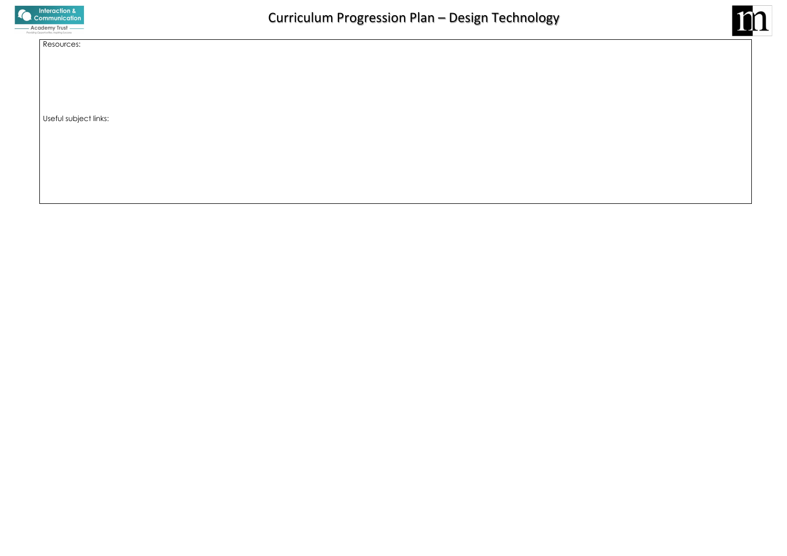

# Resources:

Useful subject links:

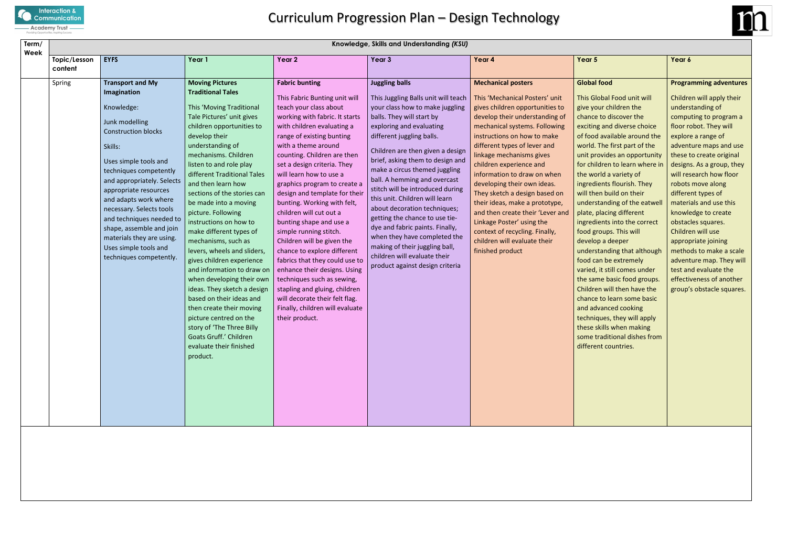

| Term/                           | Knowledge, Skills and Understanding (KSU)                                                                                                                                                                                                                                                                                                                                                                               |                                                                                                                                                                                                                                                                                                                                                                                                                                                                                                                                                                                                                                                                                                                                                                                       |                                                                                                                                                                                                                                                                                                                                                                                                                                                                                                                                                                                                                                                                                                                                                                    |                                                                                                                                                                                                                                                                                                                                                                                                                                                                                                                                                                                                                                                |                                                                                                                                                                                                                                                                                                                                                                                                                                                                                                                                                                                 |                                                                                                                                                                                                                                                                                                                                                                                                                                                                                                                                                                                                                                                                                                                                                                                                                                    |                                                                                                                                                                                                                                  |  |  |  |
|---------------------------------|-------------------------------------------------------------------------------------------------------------------------------------------------------------------------------------------------------------------------------------------------------------------------------------------------------------------------------------------------------------------------------------------------------------------------|---------------------------------------------------------------------------------------------------------------------------------------------------------------------------------------------------------------------------------------------------------------------------------------------------------------------------------------------------------------------------------------------------------------------------------------------------------------------------------------------------------------------------------------------------------------------------------------------------------------------------------------------------------------------------------------------------------------------------------------------------------------------------------------|--------------------------------------------------------------------------------------------------------------------------------------------------------------------------------------------------------------------------------------------------------------------------------------------------------------------------------------------------------------------------------------------------------------------------------------------------------------------------------------------------------------------------------------------------------------------------------------------------------------------------------------------------------------------------------------------------------------------------------------------------------------------|------------------------------------------------------------------------------------------------------------------------------------------------------------------------------------------------------------------------------------------------------------------------------------------------------------------------------------------------------------------------------------------------------------------------------------------------------------------------------------------------------------------------------------------------------------------------------------------------------------------------------------------------|---------------------------------------------------------------------------------------------------------------------------------------------------------------------------------------------------------------------------------------------------------------------------------------------------------------------------------------------------------------------------------------------------------------------------------------------------------------------------------------------------------------------------------------------------------------------------------|------------------------------------------------------------------------------------------------------------------------------------------------------------------------------------------------------------------------------------------------------------------------------------------------------------------------------------------------------------------------------------------------------------------------------------------------------------------------------------------------------------------------------------------------------------------------------------------------------------------------------------------------------------------------------------------------------------------------------------------------------------------------------------------------------------------------------------|----------------------------------------------------------------------------------------------------------------------------------------------------------------------------------------------------------------------------------|--|--|--|
| Week<br>Topic/Lesson<br>content | <b>EYFS</b>                                                                                                                                                                                                                                                                                                                                                                                                             | Year 1                                                                                                                                                                                                                                                                                                                                                                                                                                                                                                                                                                                                                                                                                                                                                                                | Year 2                                                                                                                                                                                                                                                                                                                                                                                                                                                                                                                                                                                                                                                                                                                                                             | Year 3                                                                                                                                                                                                                                                                                                                                                                                                                                                                                                                                                                                                                                         | Year 4                                                                                                                                                                                                                                                                                                                                                                                                                                                                                                                                                                          | Year 5                                                                                                                                                                                                                                                                                                                                                                                                                                                                                                                                                                                                                                                                                                                                                                                                                             | Year 6                                                                                                                                                                                                                           |  |  |  |
| Spring                          | <b>Transport and My</b><br>Imagination<br>Knowledge:<br>Junk modelling<br><b>Construction blocks</b><br>Skills:<br>Uses simple tools and<br>techniques competently<br>and appropriately. Selects<br>appropriate resources<br>and adapts work where<br>necessary. Selects tools<br>and techniques needed to<br>shape, assemble and join<br>materials they are using.<br>Uses simple tools and<br>techniques competently. | <b>Moving Pictures</b><br><b>Traditional Tales</b><br>This 'Moving Traditional<br>Tale Pictures' unit gives<br>children opportunities to<br>develop their<br>understanding of<br>mechanisms. Children<br>listen to and role play<br>different Traditional Tales<br>and then learn how<br>sections of the stories can<br>be made into a moving<br>picture. Following<br>instructions on how to<br>make different types of<br>mechanisms, such as<br>levers, wheels and sliders,<br>gives children experience<br>and information to draw on<br>when developing their own<br>ideas. They sketch a design<br>based on their ideas and<br>then create their moving<br>picture centred on the<br>story of 'The Three Billy<br>Goats Gruff.' Children<br>evaluate their finished<br>product. | <b>Fabric bunting</b><br>This Fabric Bunting unit will<br>teach your class about<br>working with fabric. It starts<br>with children evaluating a<br>range of existing bunting<br>with a theme around<br>counting. Children are then<br>set a design criteria. They<br>will learn how to use a<br>graphics program to create a<br>design and template for their<br>bunting. Working with felt,<br>children will cut out a<br>bunting shape and use a<br>simple running stitch.<br>Children will be given the<br>chance to explore different<br>fabrics that they could use to<br>enhance their designs. Using<br>techniques such as sewing,<br>stapling and gluing, children<br>will decorate their felt flag.<br>Finally, children will evaluate<br>their product. | <b>Juggling balls</b><br>This Juggling Balls unit will teach<br>your class how to make juggling<br>balls. They will start by<br>exploring and evaluating<br>different juggling balls.<br>Children are then given a design<br>brief, asking them to design and<br>make a circus themed juggling<br>ball. A hemming and overcast<br>stitch will be introduced during<br>this unit. Children will learn<br>about decoration techniques;<br>getting the chance to use tie-<br>dye and fabric paints. Finally,<br>when they have completed the<br>making of their juggling ball,<br>children will evaluate their<br>product against design criteria | <b>Mechanical posters</b><br>This 'Mechanical Posters' unit<br>gives children opportunities to<br>develop their understanding of<br>mechanical systems. Following<br>instructions on how to make<br>different types of lever and<br>linkage mechanisms gives<br>children experience and<br>information to draw on when<br>developing their own ideas.<br>They sketch a design based on<br>their ideas, make a prototype,<br>and then create their 'Lever and<br>Linkage Poster' using the<br>context of recycling. Finally,<br>children will evaluate their<br>finished product | <b>Global food</b><br>This Global Food unit will<br>give your children the<br>chance to discover the<br>exciting and diverse choice<br>of food available around the<br>world. The first part of the<br>unit provides an opportunity<br>for children to learn where in<br>the world a variety of<br>ingredients flourish. They<br>will then build on their<br>understanding of the eatwell<br>plate, placing different<br>ingredients into the correct<br>food groups. This will<br>develop a deeper<br>understanding that although<br>food can be extremely<br>varied, it still comes under<br>the same basic food groups.<br>Children will then have the<br>chance to learn some basic<br>and advanced cooking<br>techniques, they will apply<br>these skills when making<br>some traditional dishes from<br>different countries. | Progra<br>Childre<br>unders<br>compu<br>floor re<br>explor<br>advent<br>these t<br>design<br>will res<br>robots<br>differe<br>materi<br>knowle<br>obstac<br>Childre<br>approp<br>metho<br>advent<br>test an<br>effecti<br>group' |  |  |  |
|                                 |                                                                                                                                                                                                                                                                                                                                                                                                                         |                                                                                                                                                                                                                                                                                                                                                                                                                                                                                                                                                                                                                                                                                                                                                                                       |                                                                                                                                                                                                                                                                                                                                                                                                                                                                                                                                                                                                                                                                                                                                                                    |                                                                                                                                                                                                                                                                                                                                                                                                                                                                                                                                                                                                                                                |                                                                                                                                                                                                                                                                                                                                                                                                                                                                                                                                                                                 |                                                                                                                                                                                                                                                                                                                                                                                                                                                                                                                                                                                                                                                                                                                                                                                                                                    |                                                                                                                                                                                                                                  |  |  |  |



# food

## **Programming adventures**

Children will apply their understanding of computing to program a floor robot. They will explore a range of adventure maps and use these to create original designs. As a group, they will research how floor robots move along different types of materials and use this knowledge to create obstacles squares. Children will use appropriate joining methods to make a scale adventure map. They will test and evaluate the effectiveness of another group's obstacle squares.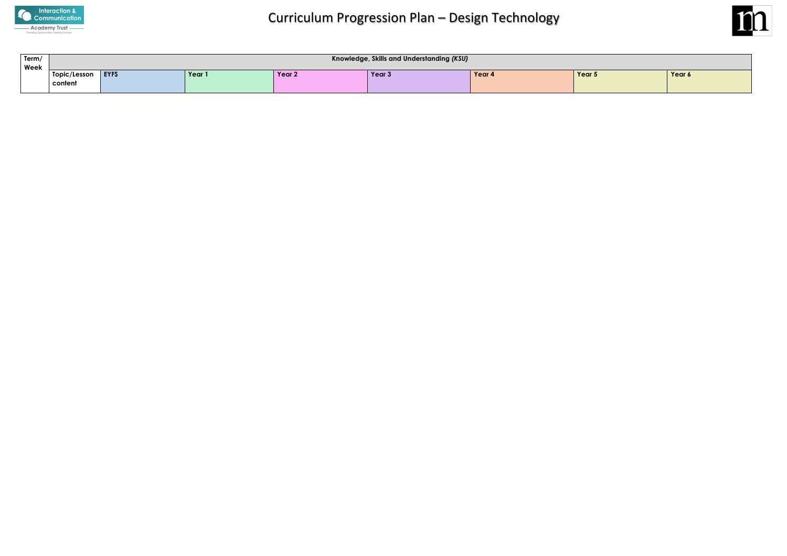

| Term/ | Knowledge, Skills and Understanding (KSU) |             |        |        |        |        |        |        |
|-------|-------------------------------------------|-------------|--------|--------|--------|--------|--------|--------|
| Week  |                                           |             |        |        |        |        |        |        |
|       | Topic/Lesson                              | <b>EYFS</b> | Year 1 | Year 2 | Year 3 | Year 4 | Year 5 | Year 6 |
|       | content                                   |             |        |        |        |        |        |        |
|       |                                           |             |        |        |        |        |        |        |

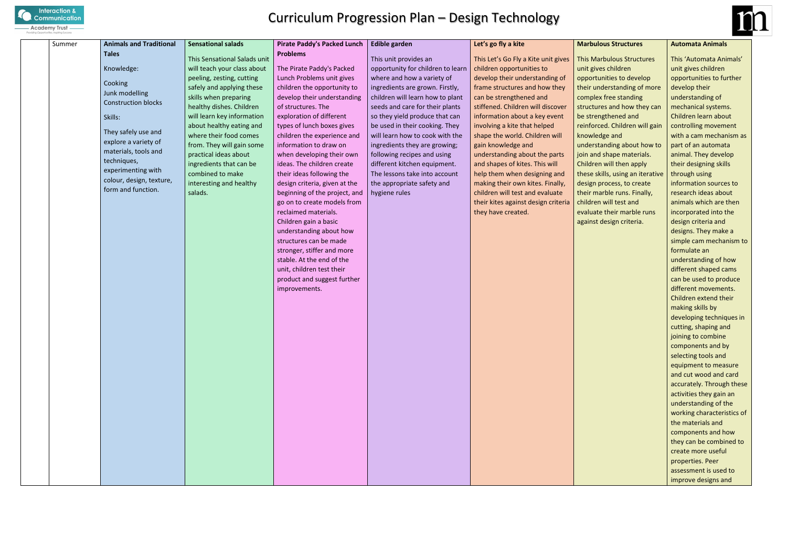

| Summer | <b>Animals and Traditional</b>      | <b>Sensational salads</b>    | <b>Pirate Paddy's Packed Lunch</b>                | <b>Edible garden</b>              | Let's go fly a kite                 | M              |
|--------|-------------------------------------|------------------------------|---------------------------------------------------|-----------------------------------|-------------------------------------|----------------|
|        | <b>Tales</b>                        | This Sensational Salads unit | <b>Problems</b>                                   | This unit provides an             | This Let's Go Fly a Kite unit gives | Th             |
|        | Knowledge:                          | will teach your class about  | The Pirate Paddy's Packed                         | opportunity for children to learn | children opportunities to           | un             |
|        |                                     | peeling, zesting, cutting    | Lunch Problems unit gives                         | where and how a variety of        | develop their understanding of      | op             |
|        | Cooking                             | safely and applying these    | children the opportunity to                       | ingredients are grown. Firstly,   | frame structures and how they       | th             |
|        | Junk modelling                      | skills when preparing        | develop their understanding                       | children will learn how to plant  | can be strengthened and             | $\overline{c}$ |
|        | <b>Construction blocks</b>          | healthy dishes. Children     | of structures. The                                | seeds and care for their plants   | stiffened. Children will discover   | str            |
|        | Skills:                             | will learn key information   | exploration of different                          | so they yield produce that can    | information about a key event       | be             |
|        |                                     | about healthy eating and     | types of lunch boxes gives                        | be used in their cooking. They    | involving a kite that helped        | re             |
|        | They safely use and                 | where their food comes       | children the experience and                       | will learn how to cook with the   | shape the world. Children will      | kn             |
|        | explore a variety of                | from. They will gain some    | information to draw on                            | ingredients they are growing;     | gain knowledge and                  | un             |
|        | materials, tools and<br>techniques, | practical ideas about        | when developing their own                         | following recipes and using       | understanding about the parts       | joi            |
|        | experimenting with                  | ingredients that can be      | ideas. The children create                        | different kitchen equipment.      | and shapes of kites. This will      | Ch             |
|        | colour, design, texture,            | combined to make             | their ideas following the                         | The lessons take into account     | help them when designing and        | th             |
|        | form and function.                  | interesting and healthy      | design criteria, given at the                     | the appropriate safety and        | making their own kites. Finally,    | de             |
|        |                                     | salads.                      | beginning of the project, and                     | hygiene rules                     | children will test and evaluate     | th             |
|        |                                     |                              | go on to create models from                       |                                   | their kites against design criteria | ch             |
|        |                                     |                              | reclaimed materials.                              |                                   | they have created.                  | ev             |
|        |                                     |                              | Children gain a basic                             |                                   |                                     | ag             |
|        |                                     |                              | understanding about how<br>structures can be made |                                   |                                     |                |
|        |                                     |                              | stronger, stiffer and more                        |                                   |                                     |                |
|        |                                     |                              | stable. At the end of the                         |                                   |                                     |                |
|        |                                     |                              | unit, children test their                         |                                   |                                     |                |
|        |                                     |                              | product and suggest further                       |                                   |                                     |                |
|        |                                     |                              | improvements.                                     |                                   |                                     |                |
|        |                                     |                              |                                                   |                                   |                                     |                |
|        |                                     |                              |                                                   |                                   |                                     |                |
|        |                                     |                              |                                                   |                                   |                                     |                |
|        |                                     |                              |                                                   |                                   |                                     |                |
|        |                                     |                              |                                                   |                                   |                                     |                |
|        |                                     |                              |                                                   |                                   |                                     |                |
|        |                                     |                              |                                                   |                                   |                                     |                |
|        |                                     |                              |                                                   |                                   |                                     |                |
|        |                                     |                              |                                                   |                                   |                                     |                |
|        |                                     |                              |                                                   |                                   |                                     |                |
|        |                                     |                              |                                                   |                                   |                                     |                |
|        |                                     |                              |                                                   |                                   |                                     |                |
|        |                                     |                              |                                                   |                                   |                                     |                |
|        |                                     |                              |                                                   |                                   |                                     |                |
|        |                                     |                              |                                                   |                                   |                                     |                |
|        |                                     |                              |                                                   |                                   |                                     |                |
|        |                                     |                              |                                                   |                                   |                                     |                |
|        |                                     |                              |                                                   |                                   |                                     |                |
|        |                                     |                              |                                                   |                                   |                                     |                |
|        |                                     |                              |                                                   |                                   |                                     |                |



### **Marbulous Structures**

iis Marbulous Structures it gives children opportunities to develop eir understanding of more mplex free standing ructures and how they can **strengthened and** inforced. Children will gain owledge and derstanding about how to in and shape materials. ildren will then apply ese skills, using an iterative esign process, to create eir marble runs. Finally, hildren will test and valuate their marble runs ainst design criteria.

### **Automata Animals**

This 'Automata Animals' unit gives children opportunities to further develop their understanding of mechanical systems. Children learn about controlling movement with a cam mechanism as part of an automata animal. They develop their designing skills through using information sources to research ideas about animals which are then incorporated into the design criteria and designs. They make a simple cam mechanism to formulate an understanding of how different shaped cams can be used to produce different movements. Children extend their making skills by developing techniques in cutting, shaping and joining to combine components and by selecting tools and equipment to measure and cut wood and card accurately. Through these activities they gain an understanding of the working characteristics of the materials and components and how they can be combined to create more useful properties. Peer assessment is used to improve designs and